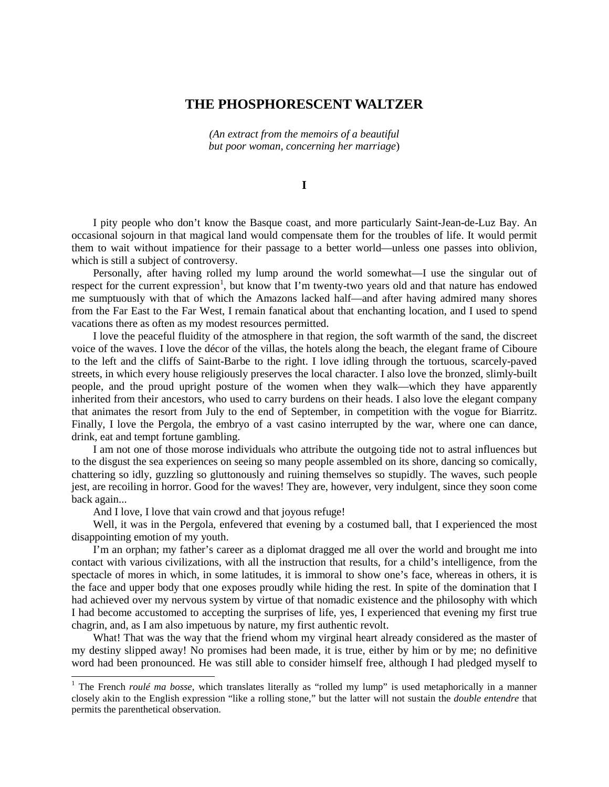## **THE PHOSPHORESCENT WALTZER**

*(An extract from the memoirs of a beautiful but poor woman, concerning her marriage*)

**I**

I pity people who don't know the Basque coast, and more particularly Saint-Jean-de-Luz Bay. An occasional sojourn in that magical land would compensate them for the troubles of life. It would permit them to wait without impatience for their passage to a better world—unless one passes into oblivion, which is still a subject of controversy.

Personally, after having rolled my lump around the world somewhat—I use the singular out of respect for the current expression<sup>[1](#page-0-0)</sup>, but know that I'm twenty-two years old and that nature has endowed me sumptuously with that of which the Amazons lacked half—and after having admired many shores from the Far East to the Far West, I remain fanatical about that enchanting location, and I used to spend vacations there as often as my modest resources permitted.

I love the peaceful fluidity of the atmosphere in that region, the soft warmth of the sand, the discreet voice of the waves. I love the décor of the villas, the hotels along the beach, the elegant frame of Ciboure to the left and the cliffs of Saint-Barbe to the right. I love idling through the tortuous, scarcely-paved streets, in which every house religiously preserves the local character. I also love the bronzed, slimly-built people, and the proud upright posture of the women when they walk—which they have apparently inherited from their ancestors, who used to carry burdens on their heads. I also love the elegant company that animates the resort from July to the end of September, in competition with the vogue for Biarritz. Finally, I love the Pergola, the embryo of a vast casino interrupted by the war, where one can dance, drink, eat and tempt fortune gambling.

I am not one of those morose individuals who attribute the outgoing tide not to astral influences but to the disgust the sea experiences on seeing so many people assembled on its shore, dancing so comically, chattering so idly, guzzling so gluttonously and ruining themselves so stupidly. The waves, such people jest, are recoiling in horror. Good for the waves! They are, however, very indulgent, since they soon come back again...

And I love, I love that vain crowd and that joyous refuge!

Well, it was in the Pergola, enfevered that evening by a costumed ball, that I experienced the most disappointing emotion of my youth.

I'm an orphan; my father's career as a diplomat dragged me all over the world and brought me into contact with various civilizations, with all the instruction that results, for a child's intelligence, from the spectacle of mores in which, in some latitudes, it is immoral to show one's face, whereas in others, it is the face and upper body that one exposes proudly while hiding the rest. In spite of the domination that I had achieved over my nervous system by virtue of that nomadic existence and the philosophy with which I had become accustomed to accepting the surprises of life, yes, I experienced that evening my first true chagrin, and, as I am also impetuous by nature, my first authentic revolt.

What! That was the way that the friend whom my virginal heart already considered as the master of my destiny slipped away! No promises had been made, it is true, either by him or by me; no definitive word had been pronounced. He was still able to consider himself free, although I had pledged myself to

<span id="page-0-0"></span><sup>&</sup>lt;sup>1</sup> The French *roulé ma bosse*, which translates literally as "rolled my lump" is used metaphorically in a manner closely akin to the English expression "like a rolling stone," but the latter will not sustain the *double entendre* that permits the parenthetical observation.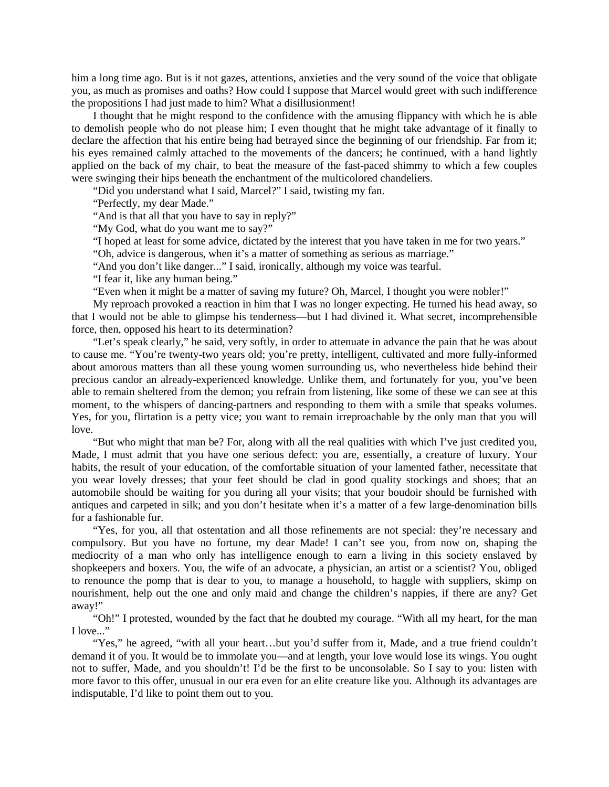him a long time ago. But is it not gazes, attentions, anxieties and the very sound of the voice that obligate you, as much as promises and oaths? How could I suppose that Marcel would greet with such indifference the propositions I had just made to him? What a disillusionment!

I thought that he might respond to the confidence with the amusing flippancy with which he is able to demolish people who do not please him; I even thought that he might take advantage of it finally to declare the affection that his entire being had betrayed since the beginning of our friendship. Far from it; his eyes remained calmly attached to the movements of the dancers; he continued, with a hand lightly applied on the back of my chair, to beat the measure of the fast-paced shimmy to which a few couples were swinging their hips beneath the enchantment of the multicolored chandeliers.

"Did you understand what I said, Marcel?" I said, twisting my fan.

"Perfectly, my dear Made."

"And is that all that you have to say in reply?"

"My God, what do you want me to say?"

"I hoped at least for some advice, dictated by the interest that you have taken in me for two years."

"Oh, advice is dangerous, when it's a matter of something as serious as marriage."

"And you don't like danger..." I said, ironically, although my voice was tearful.

"I fear it, like any human being."

"Even when it might be a matter of saving my future? Oh, Marcel, I thought you were nobler!"

My reproach provoked a reaction in him that I was no longer expecting. He turned his head away, so that I would not be able to glimpse his tenderness—but I had divined it. What secret, incomprehensible force, then, opposed his heart to its determination?

"Let's speak clearly," he said, very softly, in order to attenuate in advance the pain that he was about to cause me. "You're twenty-two years old; you're pretty, intelligent, cultivated and more fully-informed about amorous matters than all these young women surrounding us, who nevertheless hide behind their precious candor an already-experienced knowledge. Unlike them, and fortunately for you, you've been able to remain sheltered from the demon; you refrain from listening, like some of these we can see at this moment, to the whispers of dancing-partners and responding to them with a smile that speaks volumes. Yes, for you, flirtation is a petty vice; you want to remain irreproachable by the only man that you will love.

"But who might that man be? For, along with all the real qualities with which I've just credited you, Made, I must admit that you have one serious defect: you are, essentially, a creature of luxury. Your habits, the result of your education, of the comfortable situation of your lamented father, necessitate that you wear lovely dresses; that your feet should be clad in good quality stockings and shoes; that an automobile should be waiting for you during all your visits; that your boudoir should be furnished with antiques and carpeted in silk; and you don't hesitate when it's a matter of a few large-denomination bills for a fashionable fur.

"Yes, for you, all that ostentation and all those refinements are not special: they're necessary and compulsory. But you have no fortune, my dear Made! I can't see you, from now on, shaping the mediocrity of a man who only has intelligence enough to earn a living in this society enslaved by shopkeepers and boxers. You, the wife of an advocate, a physician, an artist or a scientist? You, obliged to renounce the pomp that is dear to you, to manage a household, to haggle with suppliers, skimp on nourishment, help out the one and only maid and change the children's nappies, if there are any? Get away!"

"Oh!" I protested, wounded by the fact that he doubted my courage. "With all my heart, for the man I love..."

"Yes," he agreed, "with all your heart…but you'd suffer from it, Made, and a true friend couldn't demand it of you. It would be to immolate you—and at length, your love would lose its wings. You ought not to suffer, Made, and you shouldn't! I'd be the first to be unconsolable. So I say to you: listen with more favor to this offer, unusual in our era even for an elite creature like you. Although its advantages are indisputable, I'd like to point them out to you.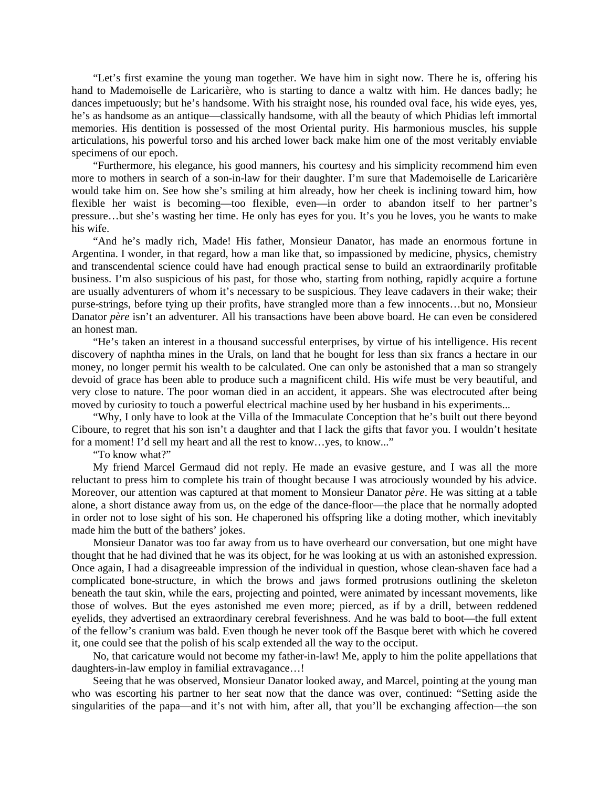"Let's first examine the young man together. We have him in sight now. There he is, offering his hand to Mademoiselle de Laricarière, who is starting to dance a waltz with him. He dances badly; he dances impetuously; but he's handsome. With his straight nose, his rounded oval face, his wide eyes, yes, he's as handsome as an antique—classically handsome, with all the beauty of which Phidias left immortal memories. His dentition is possessed of the most Oriental purity. His harmonious muscles, his supple articulations, his powerful torso and his arched lower back make him one of the most veritably enviable specimens of our epoch.

"Furthermore, his elegance, his good manners, his courtesy and his simplicity recommend him even more to mothers in search of a son-in-law for their daughter. I'm sure that Mademoiselle de Laricarière would take him on. See how she's smiling at him already, how her cheek is inclining toward him, how flexible her waist is becoming—too flexible, even—in order to abandon itself to her partner's pressure…but she's wasting her time. He only has eyes for you. It's you he loves, you he wants to make his wife.

"And he's madly rich, Made! His father, Monsieur Danator, has made an enormous fortune in Argentina. I wonder, in that regard, how a man like that, so impassioned by medicine, physics, chemistry and transcendental science could have had enough practical sense to build an extraordinarily profitable business. I'm also suspicious of his past, for those who, starting from nothing, rapidly acquire a fortune are usually adventurers of whom it's necessary to be suspicious. They leave cadavers in their wake; their purse-strings, before tying up their profits, have strangled more than a few innocents…but no, Monsieur Danator *père* isn't an adventurer. All his transactions have been above board. He can even be considered an honest man.

"He's taken an interest in a thousand successful enterprises, by virtue of his intelligence. His recent discovery of naphtha mines in the Urals, on land that he bought for less than six francs a hectare in our money, no longer permit his wealth to be calculated. One can only be astonished that a man so strangely devoid of grace has been able to produce such a magnificent child. His wife must be very beautiful, and very close to nature. The poor woman died in an accident, it appears. She was electrocuted after being moved by curiosity to touch a powerful electrical machine used by her husband in his experiments...

"Why, I only have to look at the Villa of the Immaculate Conception that he's built out there beyond Ciboure, to regret that his son isn't a daughter and that I lack the gifts that favor you. I wouldn't hesitate for a moment! I'd sell my heart and all the rest to know…yes, to know..."

"To know what?"

My friend Marcel Germaud did not reply. He made an evasive gesture, and I was all the more reluctant to press him to complete his train of thought because I was atrociously wounded by his advice. Moreover, our attention was captured at that moment to Monsieur Danator *père*. He was sitting at a table alone, a short distance away from us, on the edge of the dance-floor—the place that he normally adopted in order not to lose sight of his son. He chaperoned his offspring like a doting mother, which inevitably made him the butt of the bathers' jokes.

Monsieur Danator was too far away from us to have overheard our conversation, but one might have thought that he had divined that he was its object, for he was looking at us with an astonished expression. Once again, I had a disagreeable impression of the individual in question, whose clean-shaven face had a complicated bone-structure, in which the brows and jaws formed protrusions outlining the skeleton beneath the taut skin, while the ears, projecting and pointed, were animated by incessant movements, like those of wolves. But the eyes astonished me even more; pierced, as if by a drill, between reddened eyelids, they advertised an extraordinary cerebral feverishness. And he was bald to boot—the full extent of the fellow's cranium was bald. Even though he never took off the Basque beret with which he covered it, one could see that the polish of his scalp extended all the way to the occiput.

No, that caricature would not become my father-in-law! Me, apply to him the polite appellations that daughters-in-law employ in familial extravagance…!

Seeing that he was observed, Monsieur Danator looked away, and Marcel, pointing at the young man who was escorting his partner to her seat now that the dance was over, continued: "Setting aside the singularities of the papa—and it's not with him, after all, that you'll be exchanging affection—the son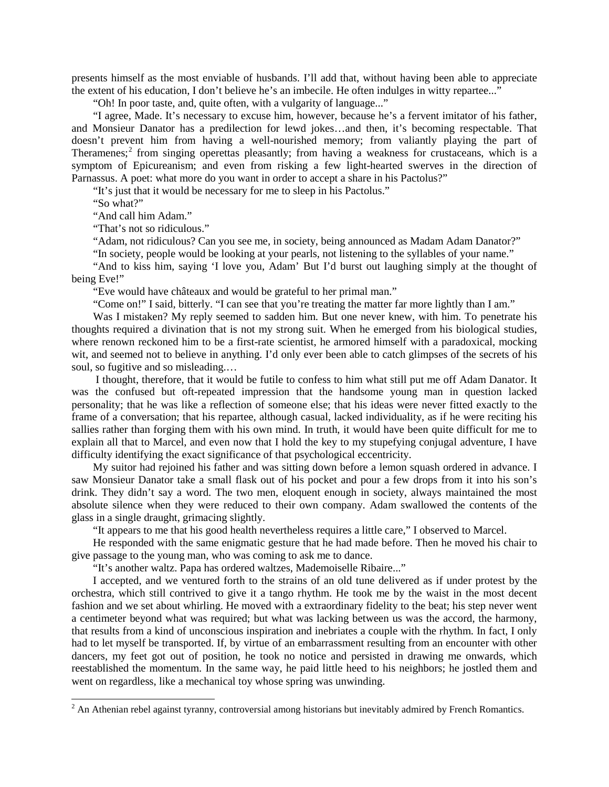presents himself as the most enviable of husbands. I'll add that, without having been able to appreciate the extent of his education, I don't believe he's an imbecile. He often indulges in witty repartee..."

"Oh! In poor taste, and, quite often, with a vulgarity of language..."

"I agree, Made. It's necessary to excuse him, however, because he's a fervent imitator of his father, and Monsieur Danator has a predilection for lewd jokes…and then, it's becoming respectable. That doesn't prevent him from having a well-nourished memory; from valiantly playing the part of Theramenes;<sup>[2](#page-3-0)</sup> from singing operettas pleasantly; from having a weakness for crustaceans, which is a symptom of Epicureanism; and even from risking a few light-hearted swerves in the direction of Parnassus. A poet: what more do you want in order to accept a share in his Pactolus?"

"It's just that it would be necessary for me to sleep in his Pactolus."

"So what?"

"And call him Adam."

"That's not so ridiculous."

"Adam, not ridiculous? Can you see me, in society, being announced as Madam Adam Danator?"

"In society, people would be looking at your pearls, not listening to the syllables of your name."

"And to kiss him, saying 'I love you, Adam' But I'd burst out laughing simply at the thought of being Eve!"

"Eve would have châteaux and would be grateful to her primal man."

"Come on!" I said, bitterly. "I can see that you're treating the matter far more lightly than I am."

Was I mistaken? My reply seemed to sadden him. But one never knew, with him. To penetrate his thoughts required a divination that is not my strong suit. When he emerged from his biological studies, where renown reckoned him to be a first-rate scientist, he armored himself with a paradoxical, mocking wit, and seemed not to believe in anything. I'd only ever been able to catch glimpses of the secrets of his soul, so fugitive and so misleading.…

I thought, therefore, that it would be futile to confess to him what still put me off Adam Danator. It was the confused but oft-repeated impression that the handsome young man in question lacked personality; that he was like a reflection of someone else; that his ideas were never fitted exactly to the frame of a conversation; that his repartee, although casual, lacked individuality, as if he were reciting his sallies rather than forging them with his own mind. In truth, it would have been quite difficult for me to explain all that to Marcel, and even now that I hold the key to my stupefying conjugal adventure, I have difficulty identifying the exact significance of that psychological eccentricity.

My suitor had rejoined his father and was sitting down before a lemon squash ordered in advance. I saw Monsieur Danator take a small flask out of his pocket and pour a few drops from it into his son's drink. They didn't say a word. The two men, eloquent enough in society, always maintained the most absolute silence when they were reduced to their own company. Adam swallowed the contents of the glass in a single draught, grimacing slightly.

"It appears to me that his good health nevertheless requires a little care," I observed to Marcel.

He responded with the same enigmatic gesture that he had made before. Then he moved his chair to give passage to the young man, who was coming to ask me to dance.

"It's another waltz. Papa has ordered waltzes, Mademoiselle Ribaire..."

I accepted, and we ventured forth to the strains of an old tune delivered as if under protest by the orchestra, which still contrived to give it a tango rhythm. He took me by the waist in the most decent fashion and we set about whirling. He moved with a extraordinary fidelity to the beat; his step never went a centimeter beyond what was required; but what was lacking between us was the accord, the harmony, that results from a kind of unconscious inspiration and inebriates a couple with the rhythm. In fact, I only had to let myself be transported. If, by virtue of an embarrassment resulting from an encounter with other dancers, my feet got out of position, he took no notice and persisted in drawing me onwards, which reestablished the momentum. In the same way, he paid little heed to his neighbors; he jostled them and went on regardless, like a mechanical toy whose spring was unwinding.

<span id="page-3-0"></span><sup>&</sup>lt;sup>2</sup> An Athenian rebel against tyranny, controversial among historians but inevitably admired by French Romantics.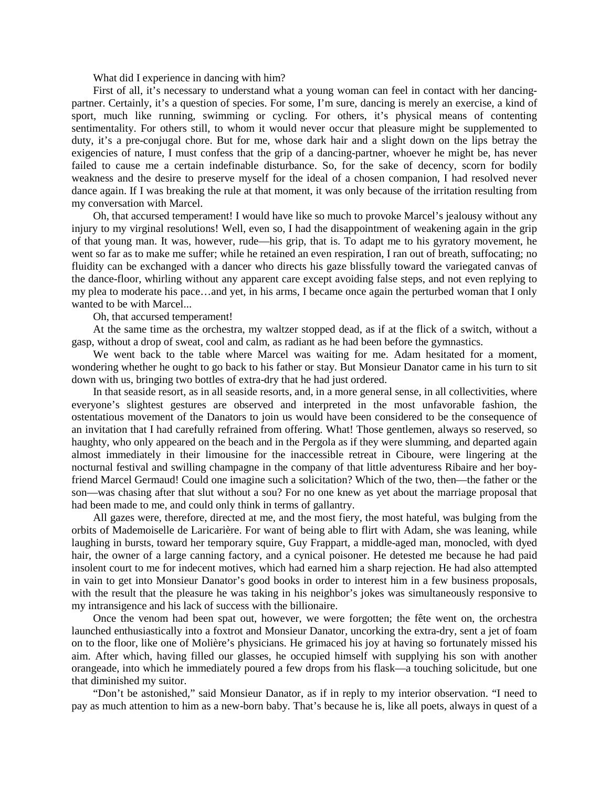What did I experience in dancing with him?

First of all, it's necessary to understand what a young woman can feel in contact with her dancingpartner. Certainly, it's a question of species. For some, I'm sure, dancing is merely an exercise, a kind of sport, much like running, swimming or cycling. For others, it's physical means of contenting sentimentality. For others still, to whom it would never occur that pleasure might be supplemented to duty, it's a pre-conjugal chore. But for me, whose dark hair and a slight down on the lips betray the exigencies of nature, I must confess that the grip of a dancing-partner, whoever he might be, has never failed to cause me a certain indefinable disturbance. So, for the sake of decency, scorn for bodily weakness and the desire to preserve myself for the ideal of a chosen companion, I had resolved never dance again. If I was breaking the rule at that moment, it was only because of the irritation resulting from my conversation with Marcel.

Oh, that accursed temperament! I would have like so much to provoke Marcel's jealousy without any injury to my virginal resolutions! Well, even so, I had the disappointment of weakening again in the grip of that young man. It was, however, rude—his grip, that is. To adapt me to his gyratory movement, he went so far as to make me suffer; while he retained an even respiration, I ran out of breath, suffocating; no fluidity can be exchanged with a dancer who directs his gaze blissfully toward the variegated canvas of the dance-floor, whirling without any apparent care except avoiding false steps, and not even replying to my plea to moderate his pace…and yet, in his arms, I became once again the perturbed woman that I only wanted to be with Marcel...

Oh, that accursed temperament!

At the same time as the orchestra, my waltzer stopped dead, as if at the flick of a switch, without a gasp, without a drop of sweat, cool and calm, as radiant as he had been before the gymnastics.

We went back to the table where Marcel was waiting for me. Adam hesitated for a moment, wondering whether he ought to go back to his father or stay. But Monsieur Danator came in his turn to sit down with us, bringing two bottles of extra-dry that he had just ordered.

In that seaside resort, as in all seaside resorts, and, in a more general sense, in all collectivities, where everyone's slightest gestures are observed and interpreted in the most unfavorable fashion, the ostentatious movement of the Danators to join us would have been considered to be the consequence of an invitation that I had carefully refrained from offering. What! Those gentlemen, always so reserved, so haughty, who only appeared on the beach and in the Pergola as if they were slumming, and departed again almost immediately in their limousine for the inaccessible retreat in Ciboure, were lingering at the nocturnal festival and swilling champagne in the company of that little adventuress Ribaire and her boyfriend Marcel Germaud! Could one imagine such a solicitation? Which of the two, then—the father or the son—was chasing after that slut without a sou? For no one knew as yet about the marriage proposal that had been made to me, and could only think in terms of gallantry.

All gazes were, therefore, directed at me, and the most fiery, the most hateful, was bulging from the orbits of Mademoiselle de Laricarière. For want of being able to flirt with Adam, she was leaning, while laughing in bursts, toward her temporary squire, Guy Frappart, a middle-aged man, monocled, with dyed hair, the owner of a large canning factory, and a cynical poisoner. He detested me because he had paid insolent court to me for indecent motives, which had earned him a sharp rejection. He had also attempted in vain to get into Monsieur Danator's good books in order to interest him in a few business proposals, with the result that the pleasure he was taking in his neighbor's jokes was simultaneously responsive to my intransigence and his lack of success with the billionaire.

Once the venom had been spat out, however, we were forgotten; the fête went on, the orchestra launched enthusiastically into a foxtrot and Monsieur Danator, uncorking the extra-dry, sent a jet of foam on to the floor, like one of Molière's physicians. He grimaced his joy at having so fortunately missed his aim. After which, having filled our glasses, he occupied himself with supplying his son with another orangeade, into which he immediately poured a few drops from his flask—a touching solicitude, but one that diminished my suitor.

"Don't be astonished," said Monsieur Danator, as if in reply to my interior observation. "I need to pay as much attention to him as a new-born baby. That's because he is, like all poets, always in quest of a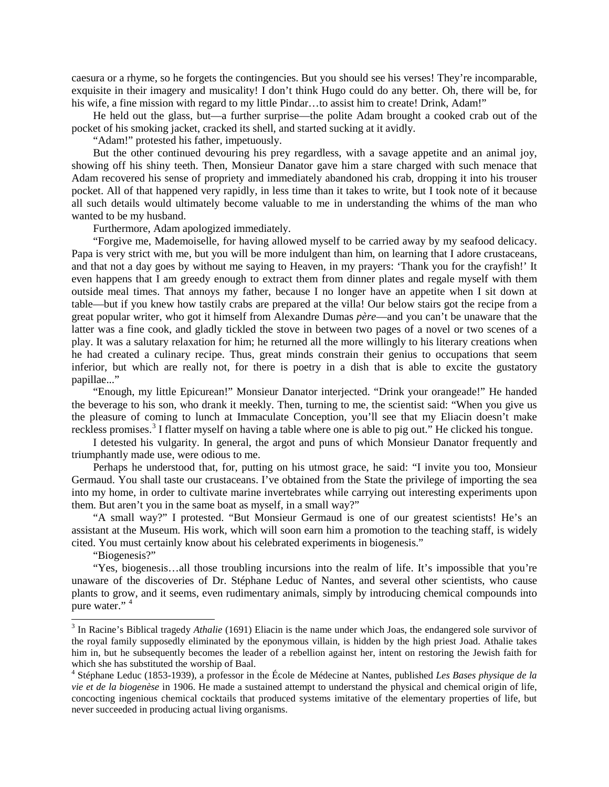caesura or a rhyme, so he forgets the contingencies. But you should see his verses! They're incomparable, exquisite in their imagery and musicality! I don't think Hugo could do any better. Oh, there will be, for his wife, a fine mission with regard to my little Pindar...to assist him to create! Drink, Adam!"

He held out the glass, but—a further surprise—the polite Adam brought a cooked crab out of the pocket of his smoking jacket, cracked its shell, and started sucking at it avidly.

"Adam!" protested his father, impetuously.

But the other continued devouring his prey regardless, with a savage appetite and an animal joy, showing off his shiny teeth. Then, Monsieur Danator gave him a stare charged with such menace that Adam recovered his sense of propriety and immediately abandoned his crab, dropping it into his trouser pocket. All of that happened very rapidly, in less time than it takes to write, but I took note of it because all such details would ultimately become valuable to me in understanding the whims of the man who wanted to be my husband.

Furthermore, Adam apologized immediately.

"Forgive me, Mademoiselle, for having allowed myself to be carried away by my seafood delicacy. Papa is very strict with me, but you will be more indulgent than him, on learning that I adore crustaceans, and that not a day goes by without me saying to Heaven, in my prayers: 'Thank you for the crayfish!' It even happens that I am greedy enough to extract them from dinner plates and regale myself with them outside meal times. That annoys my father, because I no longer have an appetite when I sit down at table—but if you knew how tastily crabs are prepared at the villa! Our below stairs got the recipe from a great popular writer, who got it himself from Alexandre Dumas *père*—and you can't be unaware that the latter was a fine cook, and gladly tickled the stove in between two pages of a novel or two scenes of a play. It was a salutary relaxation for him; he returned all the more willingly to his literary creations when he had created a culinary recipe. Thus, great minds constrain their genius to occupations that seem inferior, but which are really not, for there is poetry in a dish that is able to excite the gustatory papillae..."

"Enough, my little Epicurean!" Monsieur Danator interjected. "Drink your orangeade!" He handed the beverage to his son, who drank it meekly. Then, turning to me, the scientist said: "When you give us the pleasure of coming to lunch at Immaculate Conception, you'll see that my Eliacin doesn't make reckless promises.<sup>[3](#page-5-0)</sup> I flatter myself on having a table where one is able to pig out." He clicked his tongue.

I detested his vulgarity. In general, the argot and puns of which Monsieur Danator frequently and triumphantly made use, were odious to me.

Perhaps he understood that, for, putting on his utmost grace, he said: "I invite you too, Monsieur Germaud. You shall taste our crustaceans. I've obtained from the State the privilege of importing the sea into my home, in order to cultivate marine invertebrates while carrying out interesting experiments upon them. But aren't you in the same boat as myself, in a small way?"

"A small way?" I protested. "But Monsieur Germaud is one of our greatest scientists! He's an assistant at the Museum. His work, which will soon earn him a promotion to the teaching staff, is widely cited. You must certainly know about his celebrated experiments in biogenesis."

"Biogenesis?"

"Yes, biogenesis…all those troubling incursions into the realm of life. It's impossible that you're unaware of the discoveries of Dr. Stéphane Leduc of Nantes, and several other scientists, who cause plants to grow, and it seems, even rudimentary animals, simply by introducing chemical compounds into pure water." [4](#page-5-1)

<span id="page-5-0"></span><sup>&</sup>lt;sup>3</sup> In Racine's Biblical tragedy *Athalie* (1691) Eliacin is the name under which Joas, the endangered sole survivor of the royal family supposedly eliminated by the eponymous villain, is hidden by the high priest Joad. Athalie takes him in, but he subsequently becomes the leader of a rebellion against her, intent on restoring the Jewish faith for which she has substituted the worship of Baal. <sup>4</sup> Stéphane Leduc (1853-1939), a professor in the École de Médecine at Nantes, published *Les Bases physique de la* 

<span id="page-5-1"></span>*vie et de la biogenèse* in 1906. He made a sustained attempt to understand the physical and chemical origin of life, concocting ingenious chemical cocktails that produced systems imitative of the elementary properties of life, but never succeeded in producing actual living organisms.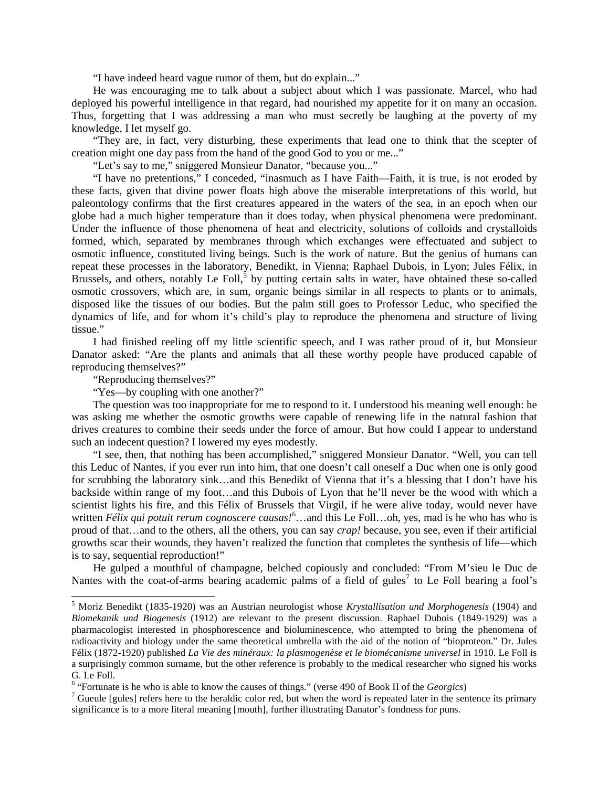"I have indeed heard vague rumor of them, but do explain..."

He was encouraging me to talk about a subject about which I was passionate. Marcel, who had deployed his powerful intelligence in that regard, had nourished my appetite for it on many an occasion. Thus, forgetting that I was addressing a man who must secretly be laughing at the poverty of my knowledge, I let myself go.

"They are, in fact, very disturbing, these experiments that lead one to think that the scepter of creation might one day pass from the hand of the good God to you or me..."

"Let's say to me," sniggered Monsieur Danator, "because you..."

"I have no pretentions," I conceded, "inasmuch as I have Faith—Faith, it is true, is not eroded by these facts, given that divine power floats high above the miserable interpretations of this world, but paleontology confirms that the first creatures appeared in the waters of the sea, in an epoch when our globe had a much higher temperature than it does today, when physical phenomena were predominant. Under the influence of those phenomena of heat and electricity, solutions of colloids and crystalloids formed, which, separated by membranes through which exchanges were effectuated and subject to osmotic influence, constituted living beings. Such is the work of nature. But the genius of humans can repeat these processes in the laboratory, Benedikt, in Vienna; Raphael Dubois, in Lyon; Jules Félix, in Brussels, and others, notably Le Foll,<sup>[5](#page-6-0)</sup> by putting certain salts in water, have obtained these so-called osmotic crossovers, which are, in sum, organic beings similar in all respects to plants or to animals, disposed like the tissues of our bodies. But the palm still goes to Professor Leduc, who specified the dynamics of life, and for whom it's child's play to reproduce the phenomena and structure of living tissue."

I had finished reeling off my little scientific speech, and I was rather proud of it, but Monsieur Danator asked: "Are the plants and animals that all these worthy people have produced capable of reproducing themselves?"

"Reproducing themselves?"

"Yes—by coupling with one another?"

The question was too inappropriate for me to respond to it. I understood his meaning well enough: he was asking me whether the osmotic growths were capable of renewing life in the natural fashion that drives creatures to combine their seeds under the force of amour. But how could I appear to understand such an indecent question? I lowered my eyes modestly.

"I see, then, that nothing has been accomplished," sniggered Monsieur Danator. "Well, you can tell this Leduc of Nantes, if you ever run into him, that one doesn't call oneself a Duc when one is only good for scrubbing the laboratory sink…and this Benedikt of Vienna that it's a blessing that I don't have his backside within range of my foot…and this Dubois of Lyon that he'll never be the wood with which a scientist lights his fire, and this Félix of Brussels that Virgil, if he were alive today, would never have written *Félix qui potuit rerum cognoscere causas!*<sup>[6](#page-6-1)</sup>...and this Le Foll...oh, yes, mad is he who has who is proud of that…and to the others, all the others, you can say *crap!* because, you see, even if their artificial growths scar their wounds, they haven't realized the function that completes the synthesis of life—which is to say, sequential reproduction!"

He gulped a mouthful of champagne, belched copiously and concluded: "From M'sieu le Duc de Nantes with the coat-of-arms bearing academic palms of a field of gules<sup>[7](#page-6-2)</sup> to Le Foll bearing a fool's

<span id="page-6-0"></span> <sup>5</sup> Moriz Benedikt (1835-1920) was an Austrian neurologist whose *Krystallisation und Morphogenesis* (1904) and *Biomekanik und Biogenesis* (1912) are relevant to the present discussion. Raphael Dubois (1849-1929) was a pharmacologist interested in phosphorescence and bioluminescence, who attempted to bring the phenomena of radioactivity and biology under the same theoretical umbrella with the aid of the notion of "bioproteon." Dr. Jules Félix (1872-1920) published *La Vie des minéraux: la plasmogenèse et le biomécanisme universel* in 1910. Le Foll is a surprisingly common surname, but the other reference is probably to the medical researcher who signed his works G. Le Foll.<br><sup>6</sup> "Fortunate is he who is able to know the causes of things." (verse 490 of Book II of the *Georgics*)

<span id="page-6-1"></span>

<span id="page-6-2"></span> $\frac{7}{7}$  Gueule [gules] refers here to the heraldic color red, but when the word is repeated later in the sentence its primary significance is to a more literal meaning [mouth], further illustrating Danator's fondness for puns.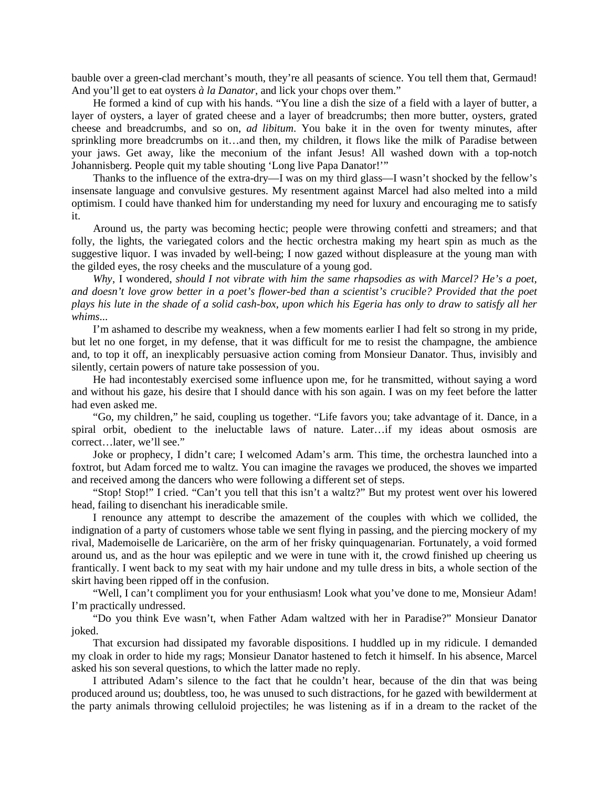bauble over a green-clad merchant's mouth, they're all peasants of science. You tell them that, Germaud! And you'll get to eat oysters *à la Danator*, and lick your chops over them."

He formed a kind of cup with his hands. "You line a dish the size of a field with a layer of butter, a layer of oysters, a layer of grated cheese and a layer of breadcrumbs; then more butter, oysters, grated cheese and breadcrumbs, and so on, *ad libitum*. You bake it in the oven for twenty minutes, after sprinkling more breadcrumbs on it…and then, my children, it flows like the milk of Paradise between your jaws. Get away, like the meconium of the infant Jesus! All washed down with a top-notch Johannisberg. People quit my table shouting 'Long live Papa Danator!'"

Thanks to the influence of the extra-dry—I was on my third glass—I wasn't shocked by the fellow's insensate language and convulsive gestures. My resentment against Marcel had also melted into a mild optimism. I could have thanked him for understanding my need for luxury and encouraging me to satisfy it.

Around us, the party was becoming hectic; people were throwing confetti and streamers; and that folly, the lights, the variegated colors and the hectic orchestra making my heart spin as much as the suggestive liquor. I was invaded by well-being; I now gazed without displeasure at the young man with the gilded eyes, the rosy cheeks and the musculature of a young god.

*Why*, I wondered, *should I not vibrate with him the same rhapsodies as with Marcel? He's a poet, and doesn't love grow better in a poet's flower-bed than a scientist's crucible? Provided that the poet plays his lute in the shade of a solid cash-box, upon which his Egeria has only to draw to satisfy all her whims*...

I'm ashamed to describe my weakness, when a few moments earlier I had felt so strong in my pride, but let no one forget, in my defense, that it was difficult for me to resist the champagne, the ambience and, to top it off, an inexplicably persuasive action coming from Monsieur Danator. Thus, invisibly and silently, certain powers of nature take possession of you.

He had incontestably exercised some influence upon me, for he transmitted, without saying a word and without his gaze, his desire that I should dance with his son again. I was on my feet before the latter had even asked me.

"Go, my children," he said, coupling us together. "Life favors you; take advantage of it. Dance, in a spiral orbit, obedient to the ineluctable laws of nature. Later…if my ideas about osmosis are correct…later, we'll see."

Joke or prophecy, I didn't care; I welcomed Adam's arm. This time, the orchestra launched into a foxtrot, but Adam forced me to waltz. You can imagine the ravages we produced, the shoves we imparted and received among the dancers who were following a different set of steps.

"Stop! Stop!" I cried. "Can't you tell that this isn't a waltz?" But my protest went over his lowered head, failing to disenchant his ineradicable smile.

I renounce any attempt to describe the amazement of the couples with which we collided, the indignation of a party of customers whose table we sent flying in passing, and the piercing mockery of my rival, Mademoiselle de Laricarière, on the arm of her frisky quinquagenarian. Fortunately, a void formed around us, and as the hour was epileptic and we were in tune with it, the crowd finished up cheering us frantically. I went back to my seat with my hair undone and my tulle dress in bits, a whole section of the skirt having been ripped off in the confusion.

"Well, I can't compliment you for your enthusiasm! Look what you've done to me, Monsieur Adam! I'm practically undressed.

"Do you think Eve wasn't, when Father Adam waltzed with her in Paradise?" Monsieur Danator joked.

That excursion had dissipated my favorable dispositions. I huddled up in my ridicule. I demanded my cloak in order to hide my rags; Monsieur Danator hastened to fetch it himself. In his absence, Marcel asked his son several questions, to which the latter made no reply.

I attributed Adam's silence to the fact that he couldn't hear, because of the din that was being produced around us; doubtless, too, he was unused to such distractions, for he gazed with bewilderment at the party animals throwing celluloid projectiles; he was listening as if in a dream to the racket of the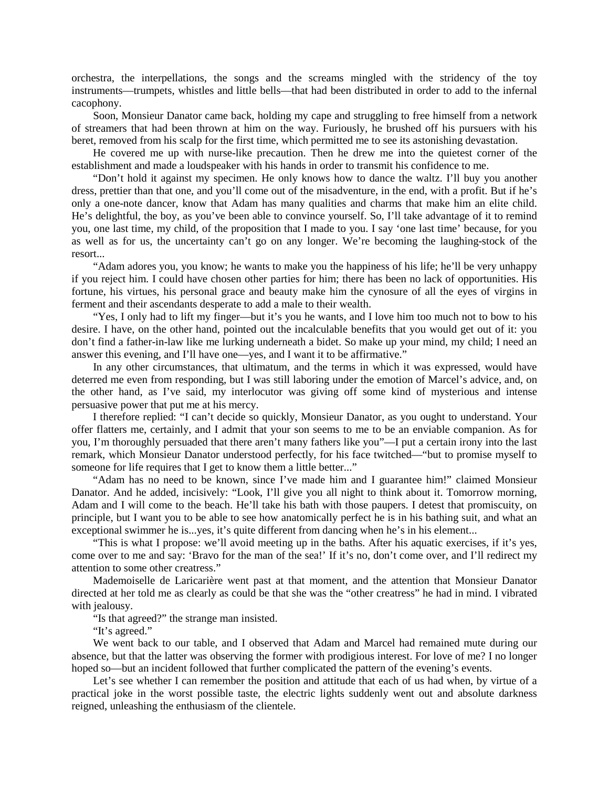orchestra, the interpellations, the songs and the screams mingled with the stridency of the toy instruments—trumpets, whistles and little bells—that had been distributed in order to add to the infernal cacophony.

Soon, Monsieur Danator came back, holding my cape and struggling to free himself from a network of streamers that had been thrown at him on the way. Furiously, he brushed off his pursuers with his beret, removed from his scalp for the first time, which permitted me to see its astonishing devastation.

He covered me up with nurse-like precaution. Then he drew me into the quietest corner of the establishment and made a loudspeaker with his hands in order to transmit his confidence to me.

"Don't hold it against my specimen. He only knows how to dance the waltz. I'll buy you another dress, prettier than that one, and you'll come out of the misadventure, in the end, with a profit. But if he's only a one-note dancer, know that Adam has many qualities and charms that make him an elite child. He's delightful, the boy, as you've been able to convince yourself. So, I'll take advantage of it to remind you, one last time, my child, of the proposition that I made to you. I say 'one last time' because, for you as well as for us, the uncertainty can't go on any longer. We're becoming the laughing-stock of the resort...

"Adam adores you, you know; he wants to make you the happiness of his life; he'll be very unhappy if you reject him. I could have chosen other parties for him; there has been no lack of opportunities. His fortune, his virtues, his personal grace and beauty make him the cynosure of all the eyes of virgins in ferment and their ascendants desperate to add a male to their wealth.

"Yes, I only had to lift my finger—but it's you he wants, and I love him too much not to bow to his desire. I have, on the other hand, pointed out the incalculable benefits that you would get out of it: you don't find a father-in-law like me lurking underneath a bidet. So make up your mind, my child; I need an answer this evening, and I'll have one—yes, and I want it to be affirmative."

In any other circumstances, that ultimatum, and the terms in which it was expressed, would have deterred me even from responding, but I was still laboring under the emotion of Marcel's advice, and, on the other hand, as I've said, my interlocutor was giving off some kind of mysterious and intense persuasive power that put me at his mercy.

I therefore replied: "I can't decide so quickly, Monsieur Danator, as you ought to understand. Your offer flatters me, certainly, and I admit that your son seems to me to be an enviable companion. As for you, I'm thoroughly persuaded that there aren't many fathers like you"—I put a certain irony into the last remark, which Monsieur Danator understood perfectly, for his face twitched—"but to promise myself to someone for life requires that I get to know them a little better..."

"Adam has no need to be known, since I've made him and I guarantee him!" claimed Monsieur Danator. And he added, incisively: "Look, I'll give you all night to think about it. Tomorrow morning, Adam and I will come to the beach. He'll take his bath with those paupers. I detest that promiscuity, on principle, but I want you to be able to see how anatomically perfect he is in his bathing suit, and what an exceptional swimmer he is...yes, it's quite different from dancing when he's in his element...

"This is what I propose: we'll avoid meeting up in the baths. After his aquatic exercises, if it's yes, come over to me and say: 'Bravo for the man of the sea!' If it's no, don't come over, and I'll redirect my attention to some other creatress."

Mademoiselle de Laricarière went past at that moment, and the attention that Monsieur Danator directed at her told me as clearly as could be that she was the "other creatress" he had in mind. I vibrated with jealousy.

"Is that agreed?" the strange man insisted.

"It's agreed."

We went back to our table, and I observed that Adam and Marcel had remained mute during our absence, but that the latter was observing the former with prodigious interest. For love of me? I no longer hoped so—but an incident followed that further complicated the pattern of the evening's events.

Let's see whether I can remember the position and attitude that each of us had when, by virtue of a practical joke in the worst possible taste, the electric lights suddenly went out and absolute darkness reigned, unleashing the enthusiasm of the clientele.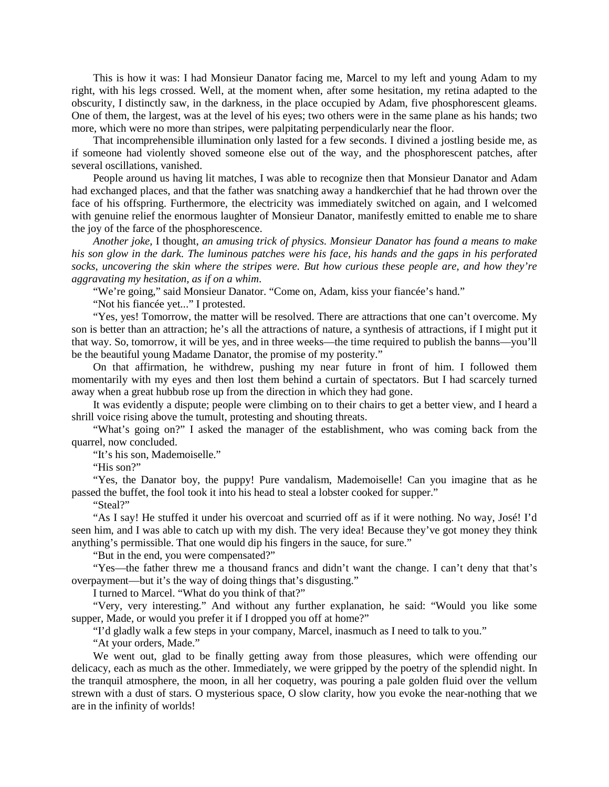This is how it was: I had Monsieur Danator facing me, Marcel to my left and young Adam to my right, with his legs crossed. Well, at the moment when, after some hesitation, my retina adapted to the obscurity, I distinctly saw, in the darkness, in the place occupied by Adam, five phosphorescent gleams. One of them, the largest, was at the level of his eyes; two others were in the same plane as his hands; two more, which were no more than stripes, were palpitating perpendicularly near the floor.

That incomprehensible illumination only lasted for a few seconds. I divined a jostling beside me, as if someone had violently shoved someone else out of the way, and the phosphorescent patches, after several oscillations, vanished.

People around us having lit matches, I was able to recognize then that Monsieur Danator and Adam had exchanged places, and that the father was snatching away a handkerchief that he had thrown over the face of his offspring. Furthermore, the electricity was immediately switched on again, and I welcomed with genuine relief the enormous laughter of Monsieur Danator, manifestly emitted to enable me to share the joy of the farce of the phosphorescence.

*Another joke*, I thought, *an amusing trick of physics. Monsieur Danator has found a means to make his son glow in the dark. The luminous patches were his face, his hands and the gaps in his perforated socks, uncovering the skin where the stripes were. But how curious these people are, and how they're aggravating my hesitation, as if on a whim*.

"We're going," said Monsieur Danator. "Come on, Adam, kiss your fiancée's hand."

"Not his fiancée yet..." I protested.

"Yes, yes! Tomorrow, the matter will be resolved. There are attractions that one can't overcome. My son is better than an attraction; he's all the attractions of nature, a synthesis of attractions, if I might put it that way. So, tomorrow, it will be yes, and in three weeks—the time required to publish the banns—you'll be the beautiful young Madame Danator, the promise of my posterity."

On that affirmation, he withdrew, pushing my near future in front of him. I followed them momentarily with my eyes and then lost them behind a curtain of spectators. But I had scarcely turned away when a great hubbub rose up from the direction in which they had gone.

It was evidently a dispute; people were climbing on to their chairs to get a better view, and I heard a shrill voice rising above the tumult, protesting and shouting threats.

"What's going on?" I asked the manager of the establishment, who was coming back from the quarrel, now concluded.

"It's his son, Mademoiselle."

"His son?"

"Yes, the Danator boy, the puppy! Pure vandalism, Mademoiselle! Can you imagine that as he passed the buffet, the fool took it into his head to steal a lobster cooked for supper."

"Steal?"

"As I say! He stuffed it under his overcoat and scurried off as if it were nothing. No way, José! I'd seen him, and I was able to catch up with my dish. The very idea! Because they've got money they think anything's permissible. That one would dip his fingers in the sauce, for sure."

"But in the end, you were compensated?"

"Yes—the father threw me a thousand francs and didn't want the change. I can't deny that that's overpayment—but it's the way of doing things that's disgusting."

I turned to Marcel. "What do you think of that?"

"Very, very interesting." And without any further explanation, he said: "Would you like some supper, Made, or would you prefer it if I dropped you off at home?"

"I'd gladly walk a few steps in your company, Marcel, inasmuch as I need to talk to you."

"At your orders, Made."

We went out, glad to be finally getting away from those pleasures, which were offending our delicacy, each as much as the other. Immediately, we were gripped by the poetry of the splendid night. In the tranquil atmosphere, the moon, in all her coquetry, was pouring a pale golden fluid over the vellum strewn with a dust of stars. O mysterious space, O slow clarity, how you evoke the near-nothing that we are in the infinity of worlds!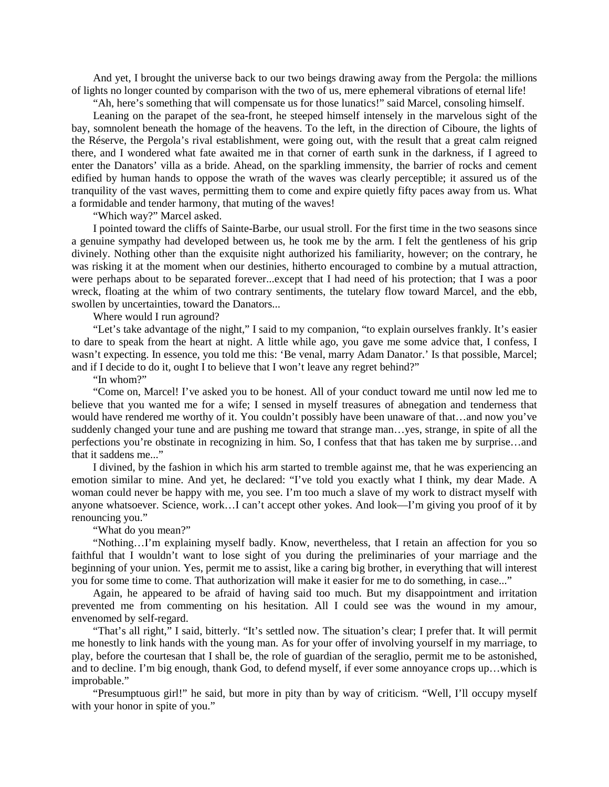And yet, I brought the universe back to our two beings drawing away from the Pergola: the millions of lights no longer counted by comparison with the two of us, mere ephemeral vibrations of eternal life!

"Ah, here's something that will compensate us for those lunatics!" said Marcel, consoling himself.

Leaning on the parapet of the sea-front, he steeped himself intensely in the marvelous sight of the bay, somnolent beneath the homage of the heavens. To the left, in the direction of Ciboure, the lights of the Réserve, the Pergola's rival establishment, were going out, with the result that a great calm reigned there, and I wondered what fate awaited me in that corner of earth sunk in the darkness, if I agreed to enter the Danators' villa as a bride. Ahead, on the sparkling immensity, the barrier of rocks and cement edified by human hands to oppose the wrath of the waves was clearly perceptible; it assured us of the tranquility of the vast waves, permitting them to come and expire quietly fifty paces away from us. What a formidable and tender harmony, that muting of the waves!

"Which way?" Marcel asked.

I pointed toward the cliffs of Sainte-Barbe, our usual stroll. For the first time in the two seasons since a genuine sympathy had developed between us, he took me by the arm. I felt the gentleness of his grip divinely. Nothing other than the exquisite night authorized his familiarity, however; on the contrary, he was risking it at the moment when our destinies, hitherto encouraged to combine by a mutual attraction, were perhaps about to be separated forever...except that I had need of his protection; that I was a poor wreck, floating at the whim of two contrary sentiments, the tutelary flow toward Marcel, and the ebb, swollen by uncertainties, toward the Danators...

Where would I run aground?

"Let's take advantage of the night," I said to my companion, "to explain ourselves frankly. It's easier to dare to speak from the heart at night. A little while ago, you gave me some advice that, I confess, I wasn't expecting. In essence, you told me this: 'Be venal, marry Adam Danator.' Is that possible, Marcel; and if I decide to do it, ought I to believe that I won't leave any regret behind?"

"In whom?"

"Come on, Marcel! I've asked you to be honest. All of your conduct toward me until now led me to believe that you wanted me for a wife; I sensed in myself treasures of abnegation and tenderness that would have rendered me worthy of it. You couldn't possibly have been unaware of that…and now you've suddenly changed your tune and are pushing me toward that strange man…yes, strange, in spite of all the perfections you're obstinate in recognizing in him. So, I confess that that has taken me by surprise…and that it saddens me..."

I divined, by the fashion in which his arm started to tremble against me, that he was experiencing an emotion similar to mine. And yet, he declared: "I've told you exactly what I think, my dear Made. A woman could never be happy with me, you see. I'm too much a slave of my work to distract myself with anyone whatsoever. Science, work…I can't accept other yokes. And look—I'm giving you proof of it by renouncing you."

"What do you mean?"

"Nothing…I'm explaining myself badly. Know, nevertheless, that I retain an affection for you so faithful that I wouldn't want to lose sight of you during the preliminaries of your marriage and the beginning of your union. Yes, permit me to assist, like a caring big brother, in everything that will interest you for some time to come. That authorization will make it easier for me to do something, in case..."

Again, he appeared to be afraid of having said too much. But my disappointment and irritation prevented me from commenting on his hesitation. All I could see was the wound in my amour, envenomed by self-regard.

"That's all right," I said, bitterly. "It's settled now. The situation's clear; I prefer that. It will permit me honestly to link hands with the young man. As for your offer of involving yourself in my marriage, to play, before the courtesan that I shall be, the role of guardian of the seraglio, permit me to be astonished, and to decline. I'm big enough, thank God, to defend myself, if ever some annoyance crops up…which is improbable."

"Presumptuous girl!" he said, but more in pity than by way of criticism. "Well, I'll occupy myself with your honor in spite of you."